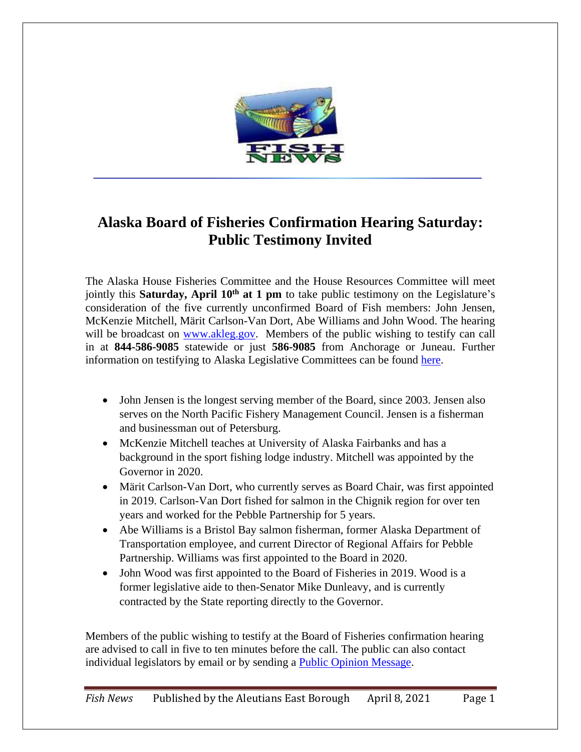

## **Alaska Board of Fisheries Confirmation Hearing Saturday: Public Testimony Invited**

The Alaska House Fisheries Committee and the House Resources Committee will meet jointly this **Saturday, April 10th at 1 pm** to take public testimony on the Legislature's consideration of the five currently unconfirmed Board of Fish members: John Jensen, McKenzie Mitchell, Märit Carlson-Van Dort, Abe Williams and John Wood. The hearing will be broadcast on [www.akleg.gov.](http://www.akleg.gov/) Members of the public wishing to testify can call in at **844-586-9085** statewide or just **586-9085** from Anchorage or Juneau. Further information on testifying to Alaska Legislative Committees can be found [here.](http://akleg.gov/pages/testify.php)

- John Jensen is the longest serving member of the Board, since 2003. Jensen also serves on the North Pacific Fishery Management Council. Jensen is a fisherman and businessman out of Petersburg.
- McKenzie Mitchell teaches at University of Alaska Fairbanks and has a background in the sport fishing lodge industry. Mitchell was appointed by the Governor in 2020.
- Märit Carlson-Van Dort, who currently serves as Board Chair, was first appointed in 2019. Carlson-Van Dort fished for salmon in the Chignik region for over ten years and worked for the Pebble Partnership for 5 years.
- Abe Williams is a Bristol Bay salmon fisherman, former Alaska Department of Transportation employee, and current Director of Regional Affairs for Pebble Partnership. Williams was first appointed to the Board in 2020.
- John Wood was first appointed to the Board of Fisheries in 2019. Wood is a former legislative aide to then-Senator Mike Dunleavy, and is currently contracted by the State reporting directly to the Governor.

Members of the public wishing to testify at the Board of Fisheries confirmation hearing are advised to call in five to ten minutes before the call. The public can also contact individual legislators by email or by sending a [Public Opinion Message.](https://www.akleg.gov/poms/)